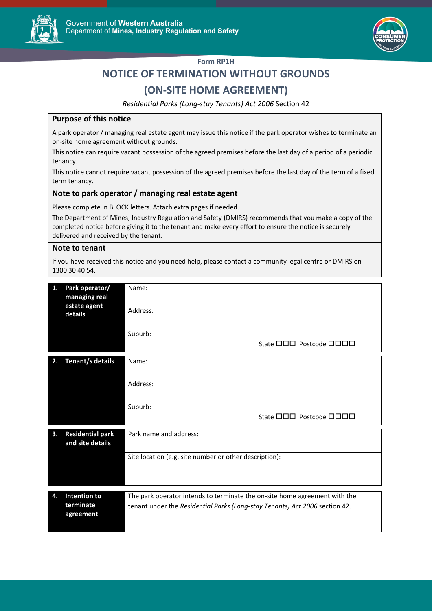



### **Form RP1H**

# **NOTICE OF TERMINATION WITHOUT GROUNDS**

## **(ON-SITE HOME AGREEMENT)**

*Residential Parks (Long-stay Tenants) Act 2006* Section 42

#### **Purpose of this notice**

A park operator / managing real estate agent may issue this notice if the park operator wishes to terminate an on-site home agreement without grounds.

This notice can require vacant possession of the agreed premises before the last day of a period of a periodic tenancy.

This notice cannot require vacant possession of the agreed premises before the last day of the term of a fixed term tenancy.

#### **Note to park operator / managing real estate agent**

Please complete in BLOCK letters. Attach extra pages if needed.

The Department of Mines, Industry Regulation and Safety (DMIRS) recommends that you make a copy of the completed notice before giving it to the tenant and make every effort to ensure the notice is securely delivered and received by the tenant.

#### **Note to tenant**

If you have received this notice and you need help, please contact a community legal centre or DMIRS on 1300 30 40 54.

| 1. | Park operator/<br>managing real<br>estate agent<br>details                                            | Name:                                                                      |  |  |
|----|-------------------------------------------------------------------------------------------------------|----------------------------------------------------------------------------|--|--|
|    |                                                                                                       | Address:                                                                   |  |  |
|    |                                                                                                       | Suburb:<br>State 000 Postcode 0000                                         |  |  |
|    |                                                                                                       |                                                                            |  |  |
| 2. | Tenant/s details                                                                                      | Name:                                                                      |  |  |
|    |                                                                                                       | Address:                                                                   |  |  |
|    |                                                                                                       | Suburb:                                                                    |  |  |
|    |                                                                                                       | State 000 Postcode 0000                                                    |  |  |
| 3. | <b>Residential park</b><br>and site details                                                           | Park name and address:                                                     |  |  |
|    |                                                                                                       | Site location (e.g. site number or other description):                     |  |  |
|    |                                                                                                       |                                                                            |  |  |
|    |                                                                                                       |                                                                            |  |  |
| 4. | Intention to                                                                                          | The park operator intends to terminate the on-site home agreement with the |  |  |
|    | terminate<br>tenant under the Residential Parks (Long-stay Tenants) Act 2006 section 42.<br>agreement |                                                                            |  |  |